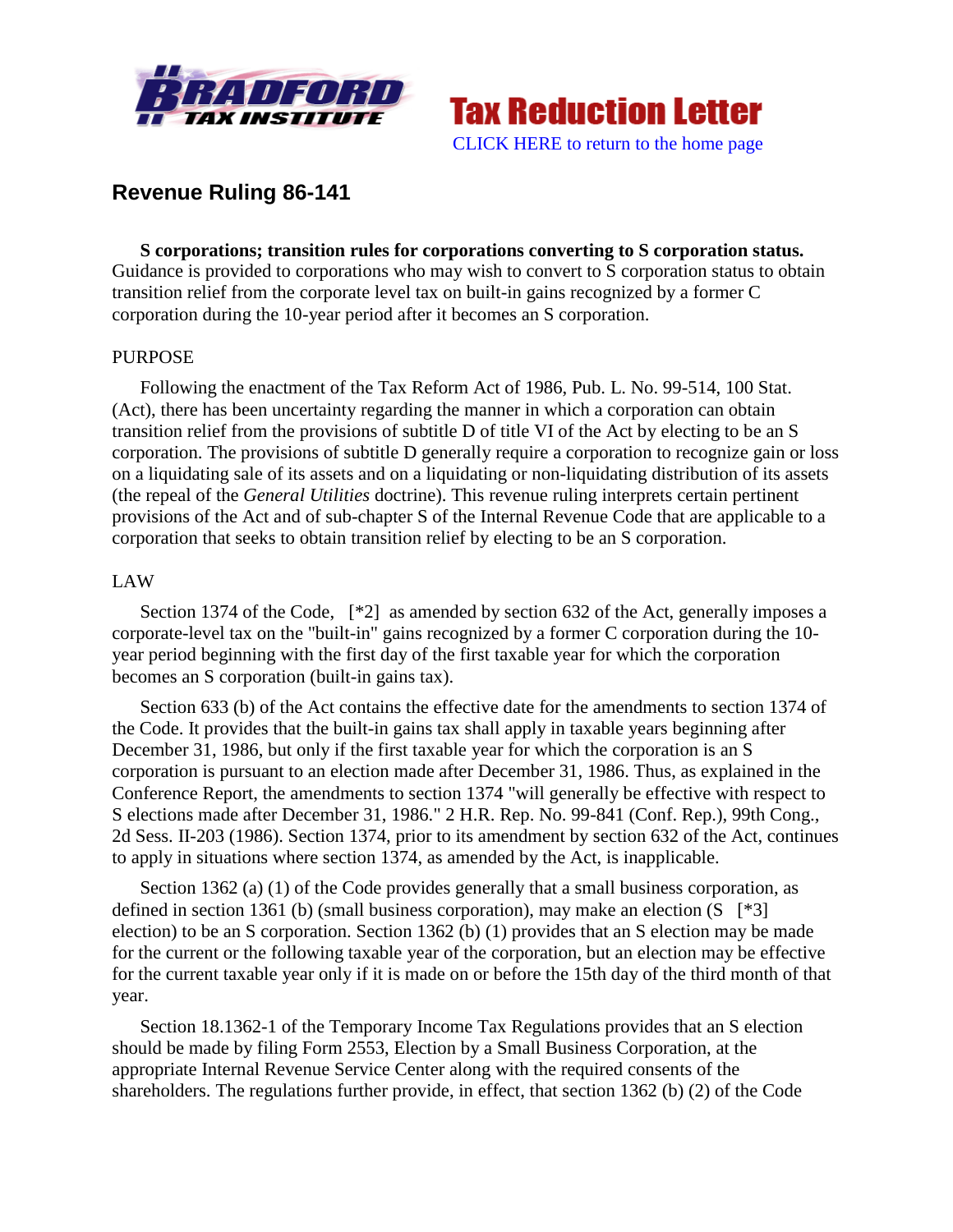



# **Revenue Ruling 86-141**

**S corporations; transition rules for corporations converting to S corporation status.** Guidance is provided to corporations who may wish to convert to S corporation status to obtain transition relief from the corporate level tax on built-in gains recognized by a former C corporation during the 10-year period after it becomes an S corporation.

# PURPOSE

Following the enactment of the Tax Reform Act of 1986, Pub. L. No. 99-514, 100 Stat. (Act), there has been uncertainty regarding the manner in which a corporation can obtain transition relief from the provisions of subtitle D of title VI of the Act by electing to be an S corporation. The provisions of subtitle D generally require a corporation to recognize gain or loss on a liquidating sale of its assets and on a liquidating or non-liquidating distribution of its assets (the repeal of the *General Utilities* doctrine). This revenue ruling interprets certain pertinent provisions of the Act and of sub-chapter S of the Internal Revenue Code that are applicable to a corporation that seeks to obtain transition relief by electing to be an S corporation.

# LAW

Section 1374 of the Code, [\*2] as amended by section 632 of the Act, generally imposes a corporate-level tax on the "built-in" gains recognized by a former C corporation during the 10 year period beginning with the first day of the first taxable year for which the corporation becomes an S corporation (built-in gains tax).

Section 633 (b) of the Act contains the effective date for the amendments to section 1374 of the Code. It provides that the built-in gains tax shall apply in taxable years beginning after December 31, 1986, but only if the first taxable year for which the corporation is an S corporation is pursuant to an election made after December 31, 1986. Thus, as explained in the Conference Report, the amendments to section 1374 "will generally be effective with respect to S elections made after December 31, 1986." 2 H.R. Rep. No. 99-841 (Conf. Rep.), 99th Cong., 2d Sess. II-203 (1986). Section 1374, prior to its amendment by section 632 of the Act, continues to apply in situations where section 1374, as amended by the Act, is inapplicable.

Section 1362 (a) (1) of the Code provides generally that a small business corporation, as defined in section 1361 (b) (small business corporation), may make an election  $(S \mid *3]$ election) to be an S corporation. Section 1362 (b) (1) provides that an S election may be made for the current or the following taxable year of the corporation, but an election may be effective for the current taxable year only if it is made on or before the 15th day of the third month of that year.

Section 18.1362-1 of the Temporary Income Tax Regulations provides that an S election should be made by filing Form 2553, Election by a Small Business Corporation, at the appropriate Internal Revenue Service Center along with the required consents of the shareholders. The regulations further provide, in effect, that section 1362 (b) (2) of the Code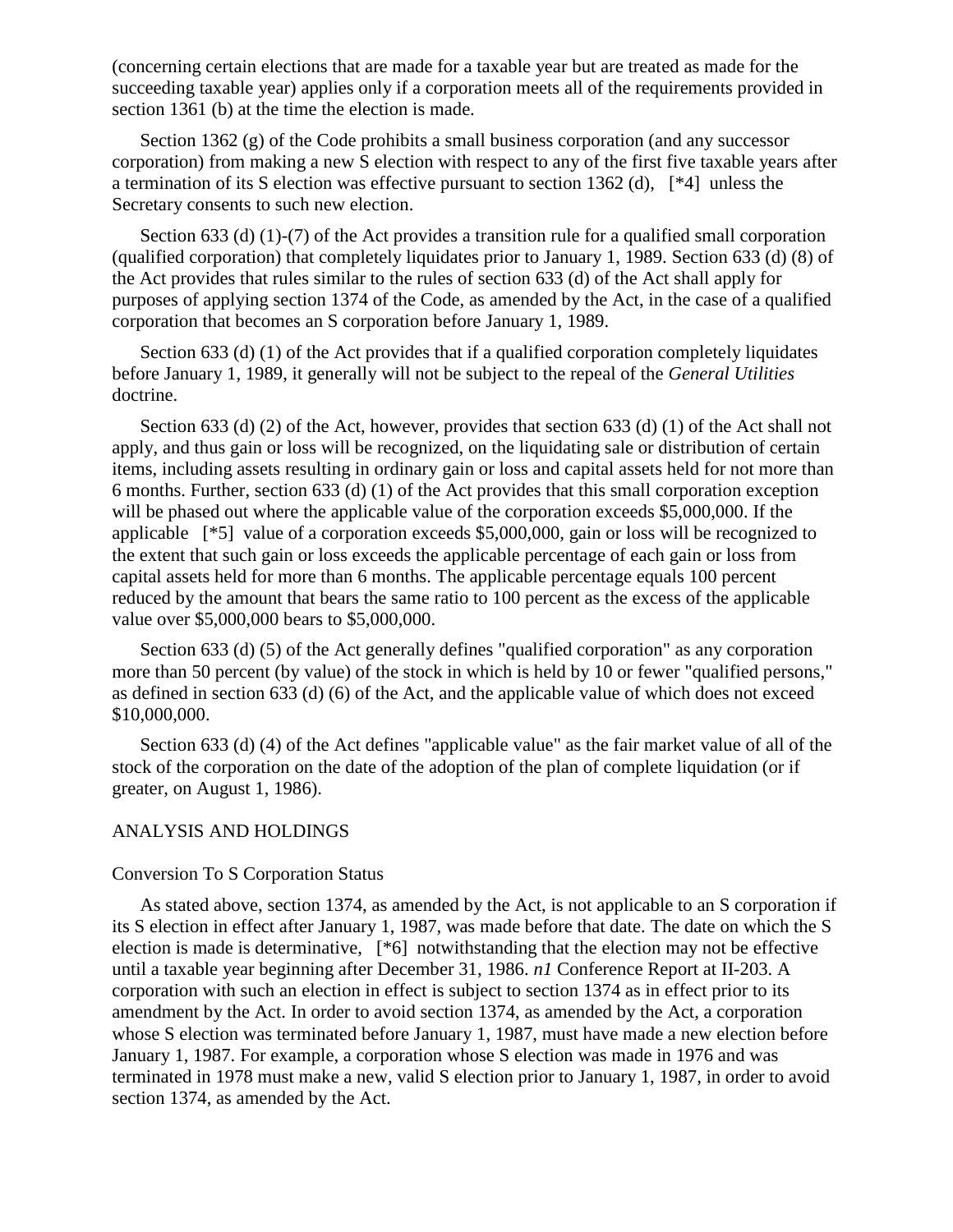(concerning certain elections that are made for a taxable year but are treated as made for the succeeding taxable year) applies only if a corporation meets all of the requirements provided in section 1361 (b) at the time the election is made.

Section 1362 (g) of the Code prohibits a small business corporation (and any successor corporation) from making a new S election with respect to any of the first five taxable years after a termination of its S election was effective pursuant to section 1362 (d), [\*4] unless the Secretary consents to such new election.

Section 633 (d) (1)-(7) of the Act provides a transition rule for a qualified small corporation (qualified corporation) that completely liquidates prior to January 1, 1989. Section 633 (d) (8) of the Act provides that rules similar to the rules of section 633 (d) of the Act shall apply for purposes of applying section 1374 of the Code, as amended by the Act, in the case of a qualified corporation that becomes an S corporation before January 1, 1989.

Section 633 (d) (1) of the Act provides that if a qualified corporation completely liquidates before January 1, 1989, it generally will not be subject to the repeal of the *General Utilities* doctrine.

Section 633 (d) (2) of the Act, however, provides that section 633 (d) (1) of the Act shall not apply, and thus gain or loss will be recognized, on the liquidating sale or distribution of certain items, including assets resulting in ordinary gain or loss and capital assets held for not more than 6 months. Further, section 633 (d) (1) of the Act provides that this small corporation exception will be phased out where the applicable value of the corporation exceeds \$5,000,000. If the applicable [\*5] value of a corporation exceeds \$5,000,000, gain or loss will be recognized to the extent that such gain or loss exceeds the applicable percentage of each gain or loss from capital assets held for more than 6 months. The applicable percentage equals 100 percent reduced by the amount that bears the same ratio to 100 percent as the excess of the applicable value over \$5,000,000 bears to \$5,000,000.

Section 633 (d) (5) of the Act generally defines "qualified corporation" as any corporation more than 50 percent (by value) of the stock in which is held by 10 or fewer "qualified persons," as defined in section 633 (d) (6) of the Act, and the applicable value of which does not exceed \$10,000,000.

Section 633 (d) (4) of the Act defines "applicable value" as the fair market value of all of the stock of the corporation on the date of the adoption of the plan of complete liquidation (or if greater, on August 1, 1986).

# ANALYSIS AND HOLDINGS

# Conversion To S Corporation Status

As stated above, section 1374, as amended by the Act, is not applicable to an S corporation if its S election in effect after January 1, 1987, was made before that date. The date on which the S election is made is determinative, [\*6] notwithstanding that the election may not be effective until a taxable year beginning after December 31, 1986. *n1* Conference Report at II-203. A corporation with such an election in effect is subject to section 1374 as in effect prior to its amendment by the Act. In order to avoid section 1374, as amended by the Act, a corporation whose S election was terminated before January 1, 1987, must have made a new election before January 1, 1987. For example, a corporation whose S election was made in 1976 and was terminated in 1978 must make a new, valid S election prior to January 1, 1987, in order to avoid section 1374, as amended by the Act.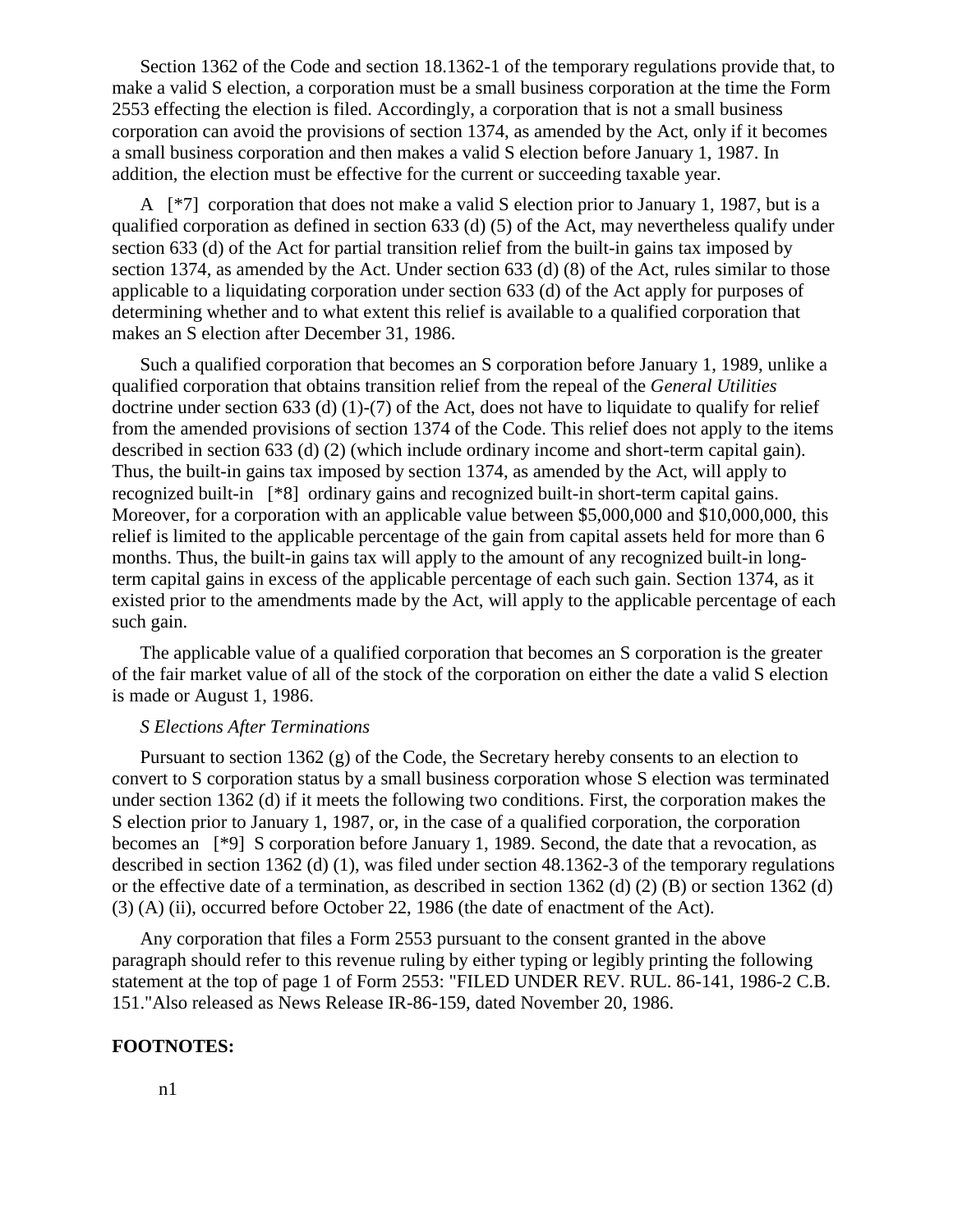Section 1362 of the Code and section 18.1362-1 of the temporary regulations provide that, to make a valid S election, a corporation must be a small business corporation at the time the Form 2553 effecting the election is filed. Accordingly, a corporation that is not a small business corporation can avoid the provisions of section 1374, as amended by the Act, only if it becomes a small business corporation and then makes a valid S election before January 1, 1987. In addition, the election must be effective for the current or succeeding taxable year.

A [\*7] corporation that does not make a valid S election prior to January 1, 1987, but is a qualified corporation as defined in section 633 (d) (5) of the Act, may nevertheless qualify under section 633 (d) of the Act for partial transition relief from the built-in gains tax imposed by section 1374, as amended by the Act. Under section 633 (d) (8) of the Act, rules similar to those applicable to a liquidating corporation under section 633 (d) of the Act apply for purposes of determining whether and to what extent this relief is available to a qualified corporation that makes an S election after December 31, 1986.

Such a qualified corporation that becomes an S corporation before January 1, 1989, unlike a qualified corporation that obtains transition relief from the repeal of the *General Utilities* doctrine under section 633 (d) (1)-(7) of the Act, does not have to liquidate to qualify for relief from the amended provisions of section 1374 of the Code. This relief does not apply to the items described in section 633 (d) (2) (which include ordinary income and short-term capital gain). Thus, the built-in gains tax imposed by section 1374, as amended by the Act, will apply to recognized built-in [\*8] ordinary gains and recognized built-in short-term capital gains. Moreover, for a corporation with an applicable value between \$5,000,000 and \$10,000,000, this relief is limited to the applicable percentage of the gain from capital assets held for more than 6 months. Thus, the built-in gains tax will apply to the amount of any recognized built-in longterm capital gains in excess of the applicable percentage of each such gain. Section 1374, as it existed prior to the amendments made by the Act, will apply to the applicable percentage of each such gain.

The applicable value of a qualified corporation that becomes an S corporation is the greater of the fair market value of all of the stock of the corporation on either the date a valid S election is made or August 1, 1986.

### *S Elections After Terminations*

Pursuant to section 1362 (g) of the Code, the Secretary hereby consents to an election to convert to S corporation status by a small business corporation whose S election was terminated under section 1362 (d) if it meets the following two conditions. First, the corporation makes the S election prior to January 1, 1987, or, in the case of a qualified corporation, the corporation becomes an [\*9] S corporation before January 1, 1989. Second, the date that a revocation, as described in section 1362 (d) (1), was filed under section 48.1362-3 of the temporary regulations or the effective date of a termination, as described in section 1362 (d) (2) (B) or section 1362 (d) (3) (A) (ii), occurred before October 22, 1986 (the date of enactment of the Act).

Any corporation that files a Form 2553 pursuant to the consent granted in the above paragraph should refer to this revenue ruling by either typing or legibly printing the following statement at the top of page 1 of Form 2553: "FILED UNDER REV. RUL. 86-141, 1986-2 C.B. 151."Also released as News Release IR-86-159, dated November 20, 1986.

#### **FOOTNOTES:**